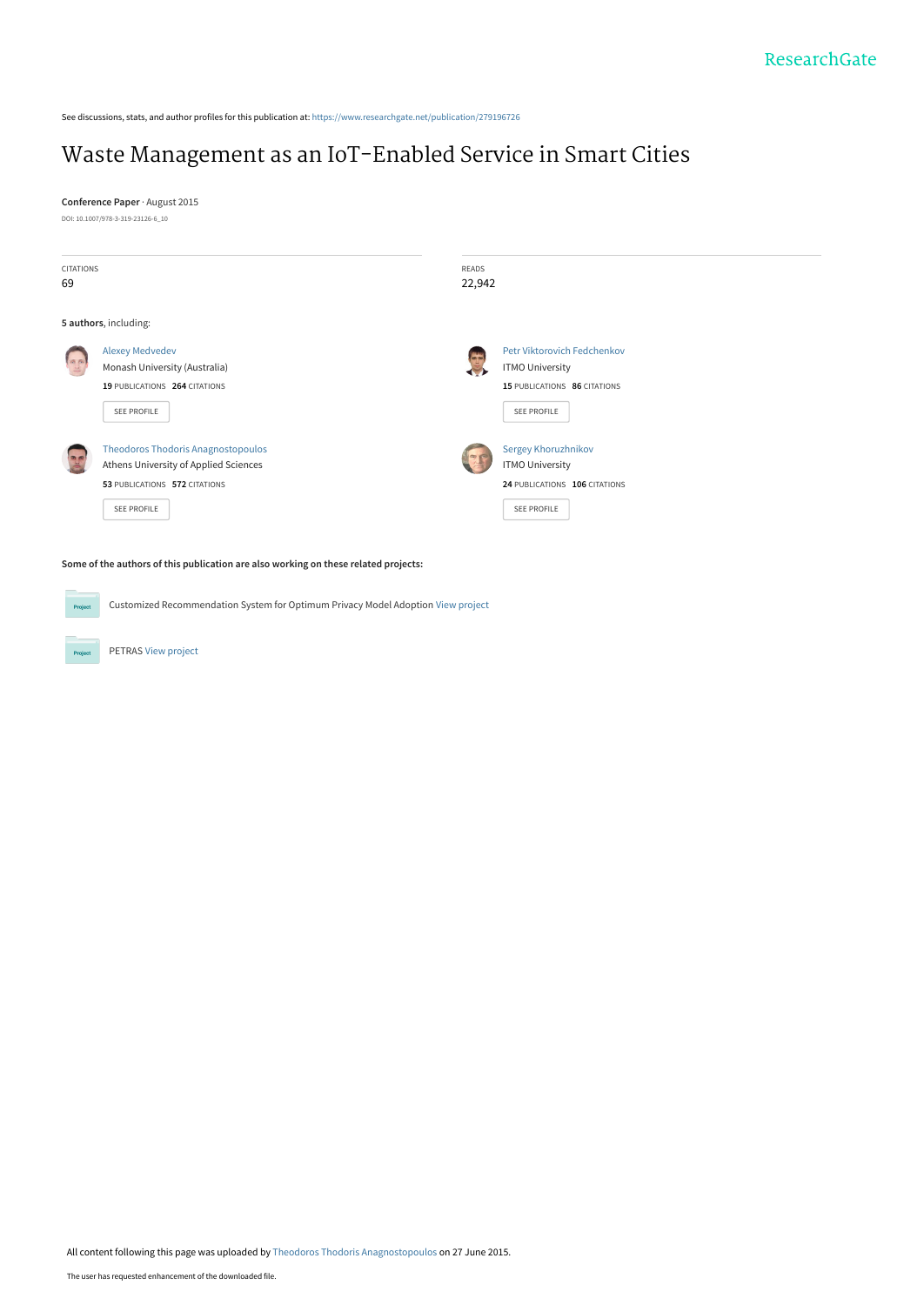See discussions, stats, and author profiles for this publication at: [https://www.researchgate.net/publication/279196726](https://www.researchgate.net/publication/279196726_Waste_Management_as_an_IoT-Enabled_Service_in_Smart_Cities?enrichId=rgreq-260be7afe62ab302fd22a9125a4cda66-XXX&enrichSource=Y292ZXJQYWdlOzI3OTE5NjcyNjtBUzoyNDQ5MDg3NTc4NzY3MzZAMTQzNTQwMjIwNjYyNA%3D%3D&el=1_x_2&_esc=publicationCoverPdf)

# [Waste Management as an IoT-Enabled Service in Smart Cities](https://www.researchgate.net/publication/279196726_Waste_Management_as_an_IoT-Enabled_Service_in_Smart_Cities?enrichId=rgreq-260be7afe62ab302fd22a9125a4cda66-XXX&enrichSource=Y292ZXJQYWdlOzI3OTE5NjcyNjtBUzoyNDQ5MDg3NTc4NzY3MzZAMTQzNTQwMjIwNjYyNA%3D%3D&el=1_x_3&_esc=publicationCoverPdf)

**Conference Paper** · August 2015 DOI: 10.1007/978-3-319-23126-6\_10

| <b>CITATIONS</b><br>69 |                                                                                                                                    | <b>READS</b><br>22,942                                                                                            |
|------------------------|------------------------------------------------------------------------------------------------------------------------------------|-------------------------------------------------------------------------------------------------------------------|
|                        | 5 authors, including:                                                                                                              |                                                                                                                   |
| 布西                     | <b>Alexey Medvedev</b><br>Monash University (Australia)<br>19 PUBLICATIONS 264 CITATIONS<br>SEE PROFILE                            | Petr Viktorovich Fedchenkov<br><b>An</b><br><b>ITMO University</b><br>15 PUBLICATIONS 86 CITATIONS<br>SEE PROFILE |
|                        | <b>Theodoros Thodoris Anagnostopoulos</b><br>Athens University of Applied Sciences<br>53 PUBLICATIONS 572 CITATIONS<br>SEE PROFILE | Sergey Khoruzhnikov<br><b>ITMO University</b><br>24 PUBLICATIONS 106 CITATIONS<br>SEE PROFILE                     |

**Some of the authors of this publication are also working on these related projects:**

Customized Recommendation System for Optimum Privacy Model Adoption [View project](https://www.researchgate.net/project/Customized-Recommendation-System-for-Optimum-Privacy-Model-Adoption?enrichId=rgreq-260be7afe62ab302fd22a9125a4cda66-XXX&enrichSource=Y292ZXJQYWdlOzI3OTE5NjcyNjtBUzoyNDQ5MDg3NTc4NzY3MzZAMTQzNTQwMjIwNjYyNA%3D%3D&el=1_x_9&_esc=publicationCoverPdf) **Project** 

PETRAS [View project](https://www.researchgate.net/project/PETRAS-2?enrichId=rgreq-260be7afe62ab302fd22a9125a4cda66-XXX&enrichSource=Y292ZXJQYWdlOzI3OTE5NjcyNjtBUzoyNDQ5MDg3NTc4NzY3MzZAMTQzNTQwMjIwNjYyNA%3D%3D&el=1_x_9&_esc=publicationCoverPdf)

**Project** 

All content following this page was uploaded by [Theodoros Thodoris Anagnostopoulos](https://www.researchgate.net/profile/Theodoros_Anagnostopoulos?enrichId=rgreq-260be7afe62ab302fd22a9125a4cda66-XXX&enrichSource=Y292ZXJQYWdlOzI3OTE5NjcyNjtBUzoyNDQ5MDg3NTc4NzY3MzZAMTQzNTQwMjIwNjYyNA%3D%3D&el=1_x_10&_esc=publicationCoverPdf) on 27 June 2015.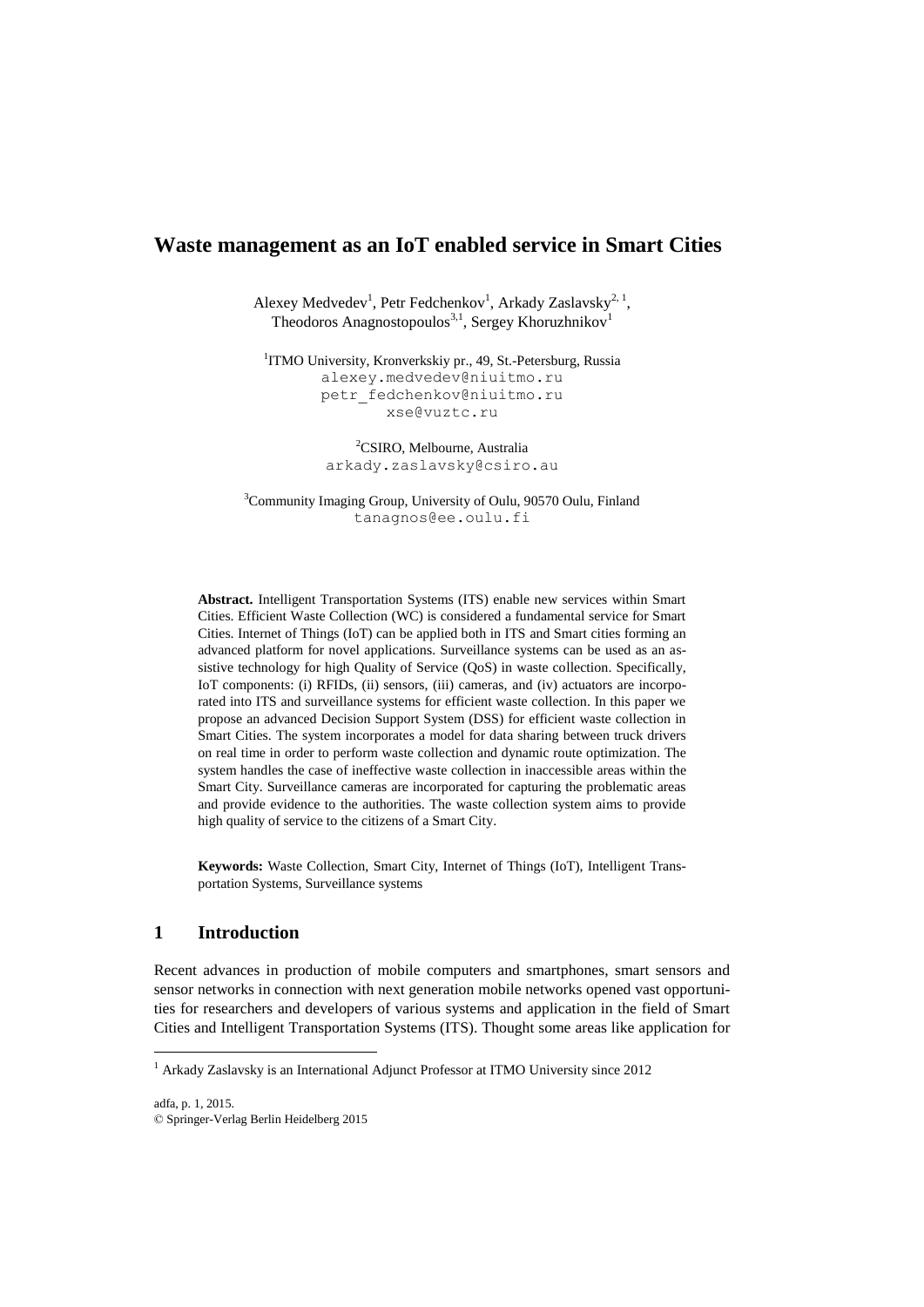# **Waste management as an IoT enabled service in Smart Cities**

Alexey Medvedev<sup>1</sup>, Petr Fedchenkov<sup>1</sup>, Arkady Zaslavsky<sup>2, 1</sup>, Theodoros Anagnostopoulos<sup>3,1</sup>, Sergey Khoruzhnikov<sup>1</sup>

<sup>1</sup>ITMO University, Kronverkskiy pr., 49, St.-Petersburg, Russia alexey.medvedev@niuitmo.ru petr\_fedchenkov@niuitmo.ru xse@vuztc.ru

> <sup>2</sup>CSIRO, Melbourne, Australia arkady.zaslavsky@csiro.au

<sup>3</sup>Community Imaging Group, University of Oulu, 90570 Oulu, Finland tanagnos@ee.oulu.fi

**Abstract.** Intelligent Transportation Systems (ITS) enable new services within Smart Cities. Efficient Waste Collection (WC) is considered a fundamental service for Smart Cities. Internet of Things (IoT) can be applied both in ITS and Smart cities forming an advanced platform for novel applications. Surveillance systems can be used as an assistive technology for high Quality of Service (QoS) in waste collection. Specifically, IoT components: (i) RFIDs, (ii) sensors, (iii) cameras, and (iv) actuators are incorporated into ITS and surveillance systems for efficient waste collection. In this paper we propose an advanced Decision Support System (DSS) for efficient waste collection in Smart Cities. The system incorporates a model for data sharing between truck drivers on real time in order to perform waste collection and dynamic route optimization. The system handles the case of ineffective waste collection in inaccessible areas within the Smart City. Surveillance cameras are incorporated for capturing the problematic areas and provide evidence to the authorities. The waste collection system aims to provide high quality of service to the citizens of a Smart City.

**Keywords:** Waste Collection, Smart City, Internet of Things (IoT), Intelligent Transportation Systems, Surveillance systems

## **1 Introduction**

Recent advances in production of mobile computers and smartphones, smart sensors and sensor networks in connection with next generation mobile networks opened vast opportunities for researchers and developers of various systems and application in the field of Smart Cities and Intelligent Transportation Systems (ITS). Thought some areas like application for

adfa, p. 1, 2015.

l

 $^1$  Arkady Zaslavsky is an International Adjunct Professor at ITMO University since 2012

<sup>©</sup> Springer-Verlag Berlin Heidelberg 2015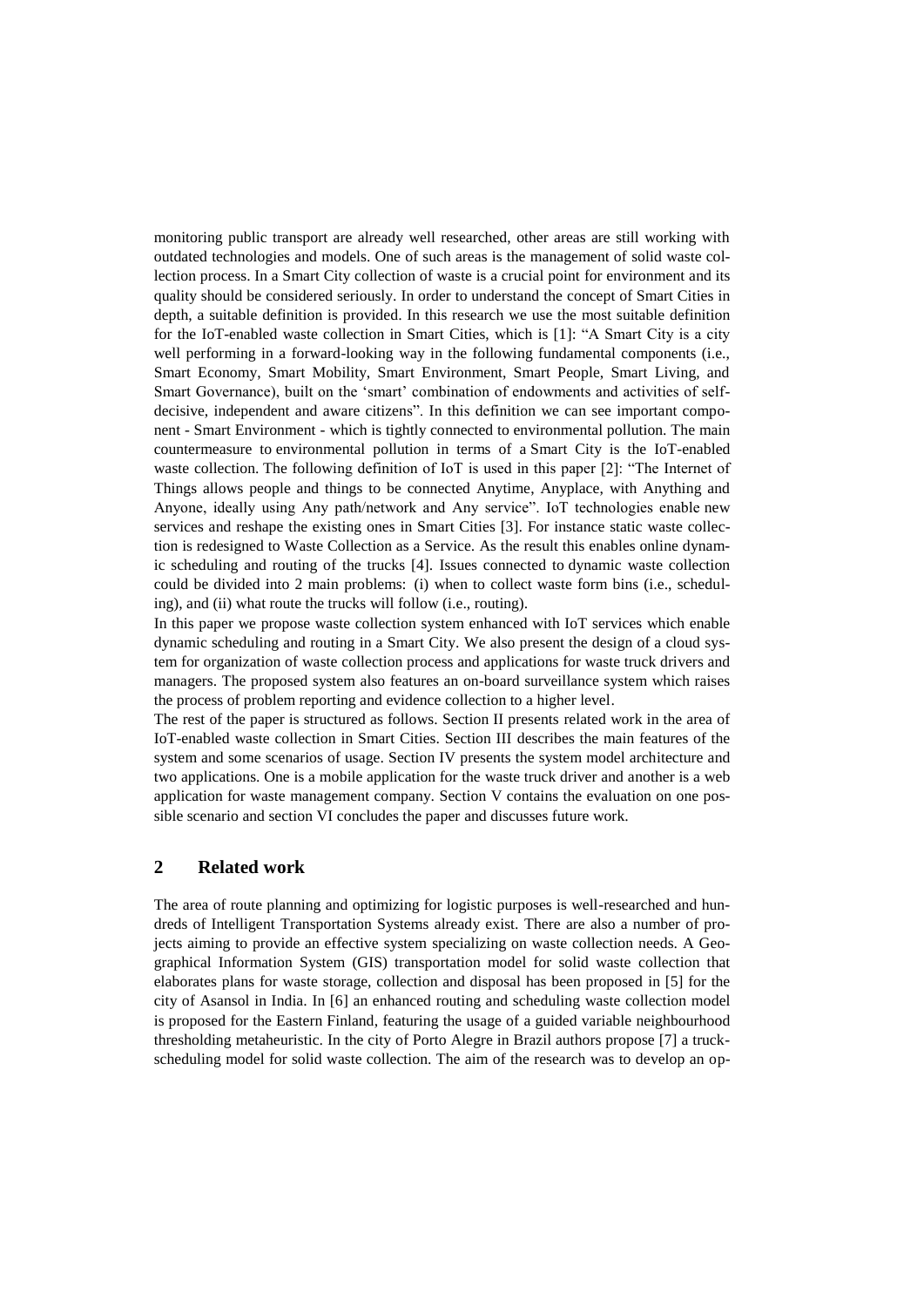monitoring public transport are already well researched, other areas are still working with outdated technologies and models. One of such areas is the management of solid waste collection process. In a Smart City collection of waste is a crucial point for environment and its quality should be considered seriously. In order to understand the concept of Smart Cities in depth, a suitable definition is provided. In this research we use the most suitable definition for the IoT-enabled waste collection in Smart Cities, which is [1]: "A Smart City is a city well performing in a forward-looking way in the following fundamental components (i.e., Smart Economy, Smart Mobility, Smart Environment, Smart People, Smart Living, and Smart Governance), built on the 'smart' combination of endowments and activities of selfdecisive, independent and aware citizens". In this definition we can see important component - Smart Environment - which is tightly connected to environmental pollution. The main countermeasure to environmental pollution in terms of a Smart City is the IoT-enabled waste collection. The following definition of IoT is used in this paper [2]: "The Internet of Things allows people and things to be connected Anytime, Anyplace, with Anything and Anyone, ideally using Any path/network and Any service". IoT technologies enable new services and reshape the existing ones in Smart Cities [3]. For instance static waste collection is redesigned to Waste Collection as a Service. As the result this enables online dynamic scheduling and routing of the trucks [4]. Issues connected to dynamic waste collection could be divided into 2 main problems: (i) when to collect waste form bins (i.e., scheduling), and (ii) what route the trucks will follow (i.e., routing).

In this paper we propose waste collection system enhanced with IoT services which enable dynamic scheduling and routing in a Smart City. We also present the design of a cloud system for organization of waste collection process and applications for waste truck drivers and managers. The proposed system also features an on-board surveillance system which raises the process of problem reporting and evidence collection to a higher level.

The rest of the paper is structured as follows. Section II presents related work in the area of IoT-enabled waste collection in Smart Cities. Section III describes the main features of the system and some scenarios of usage. Section IV presents the system model architecture and two applications. One is a mobile application for the waste truck driver and another is a web application for waste management company. Section V contains the evaluation on one possible scenario and section VI concludes the paper and discusses future work.

## **2 Related work**

The area of route planning and optimizing for logistic purposes is well-researched and hundreds of Intelligent Transportation Systems already exist. There are also a number of projects aiming to provide an effective system specializing on waste collection needs. A Geographical Information System (GIS) transportation model for solid waste collection that elaborates plans for waste storage, collection and disposal has been proposed in [5] for the city of Asansol in India. In [6] an enhanced routing and scheduling waste collection model is proposed for the Eastern Finland, featuring the usage of a guided variable neighbourhood thresholding metaheuristic. In the city of Porto Alegre in Brazil authors propose [7] a truckscheduling model for solid waste collection. The aim of the research was to develop an op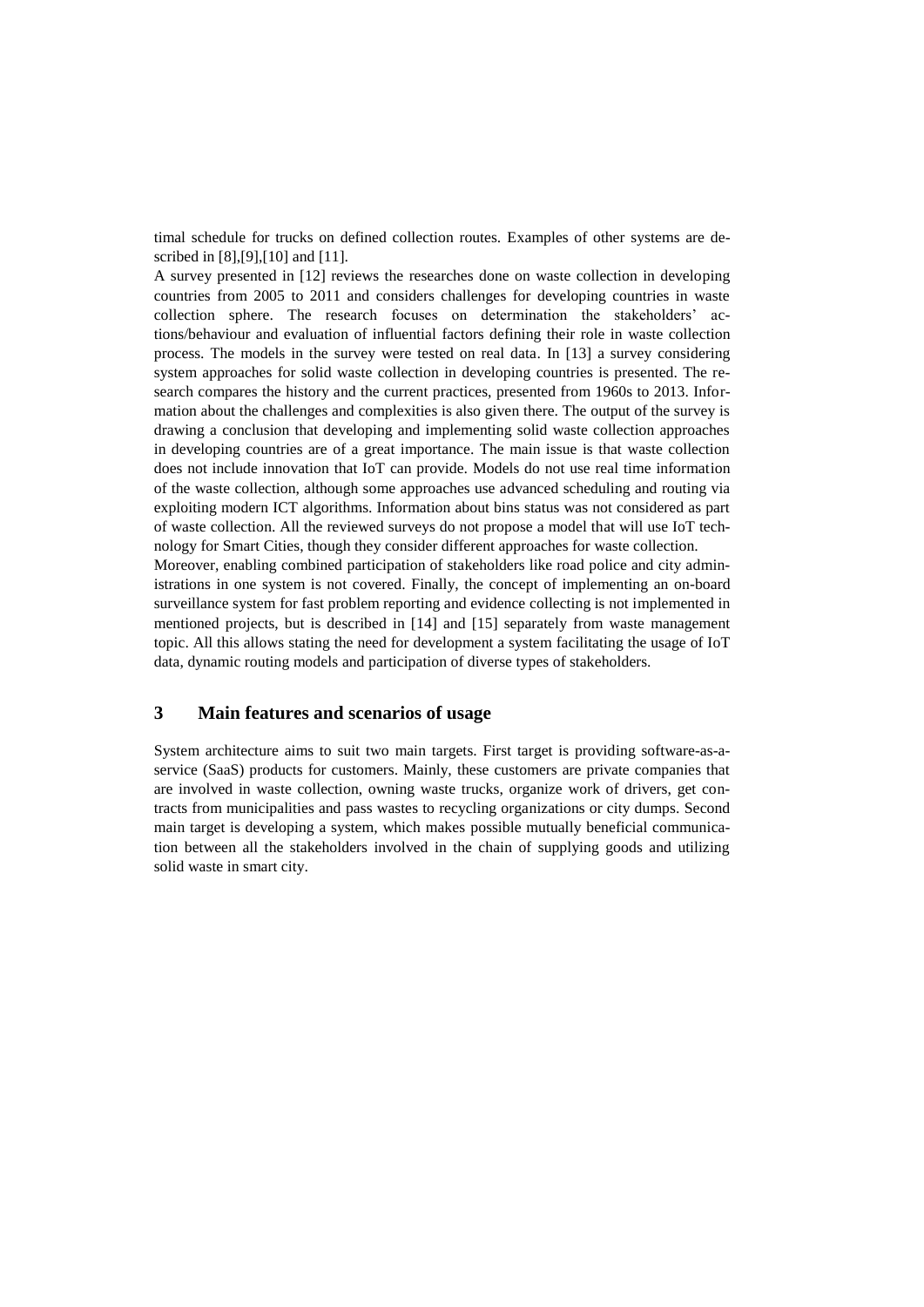timal schedule for trucks on defined collection routes. Examples of other systems are described in [8],[9],[10] and [11].

A survey presented in [12] reviews the researches done on waste collection in developing countries from 2005 to 2011 and considers challenges for developing countries in waste collection sphere. The research focuses on determination the stakeholders' actions/behaviour and evaluation of influential factors defining their role in waste collection process. The models in the survey were tested on real data. In [13] a survey considering system approaches for solid waste collection in developing countries is presented. The research compares the history and the current practices, presented from 1960s to 2013. Information about the challenges and complexities is also given there. The output of the survey is drawing a conclusion that developing and implementing solid waste collection approaches in developing countries are of a great importance. The main issue is that waste collection does not include innovation that IoT can provide. Models do not use real time information of the waste collection, although some approaches use advanced scheduling and routing via exploiting modern ICT algorithms. Information about bins status was not considered as part of waste collection. All the reviewed surveys do not propose a model that will use IoT technology for Smart Cities, though they consider different approaches for waste collection.

Moreover, enabling combined participation of stakeholders like road police and city administrations in one system is not covered. Finally, the concept of implementing an on-board surveillance system for fast problem reporting and evidence collecting is not implemented in mentioned projects, but is described in [14] and [15] separately from waste management topic. All this allows stating the need for development a system facilitating the usage of IoT data, dynamic routing models and participation of diverse types of stakeholders.

# **3 Main features and scenarios of usage**

System architecture aims to suit two main targets. First target is providing software-as-aservice (SaaS) products for customers. Mainly, these customers are private companies that are involved in waste collection, owning waste trucks, organize work of drivers, get contracts from municipalities and pass wastes to recycling organizations or city dumps. Second main target is developing a system, which makes possible mutually beneficial communication between all the stakeholders involved in the chain of supplying goods and utilizing solid waste in smart city.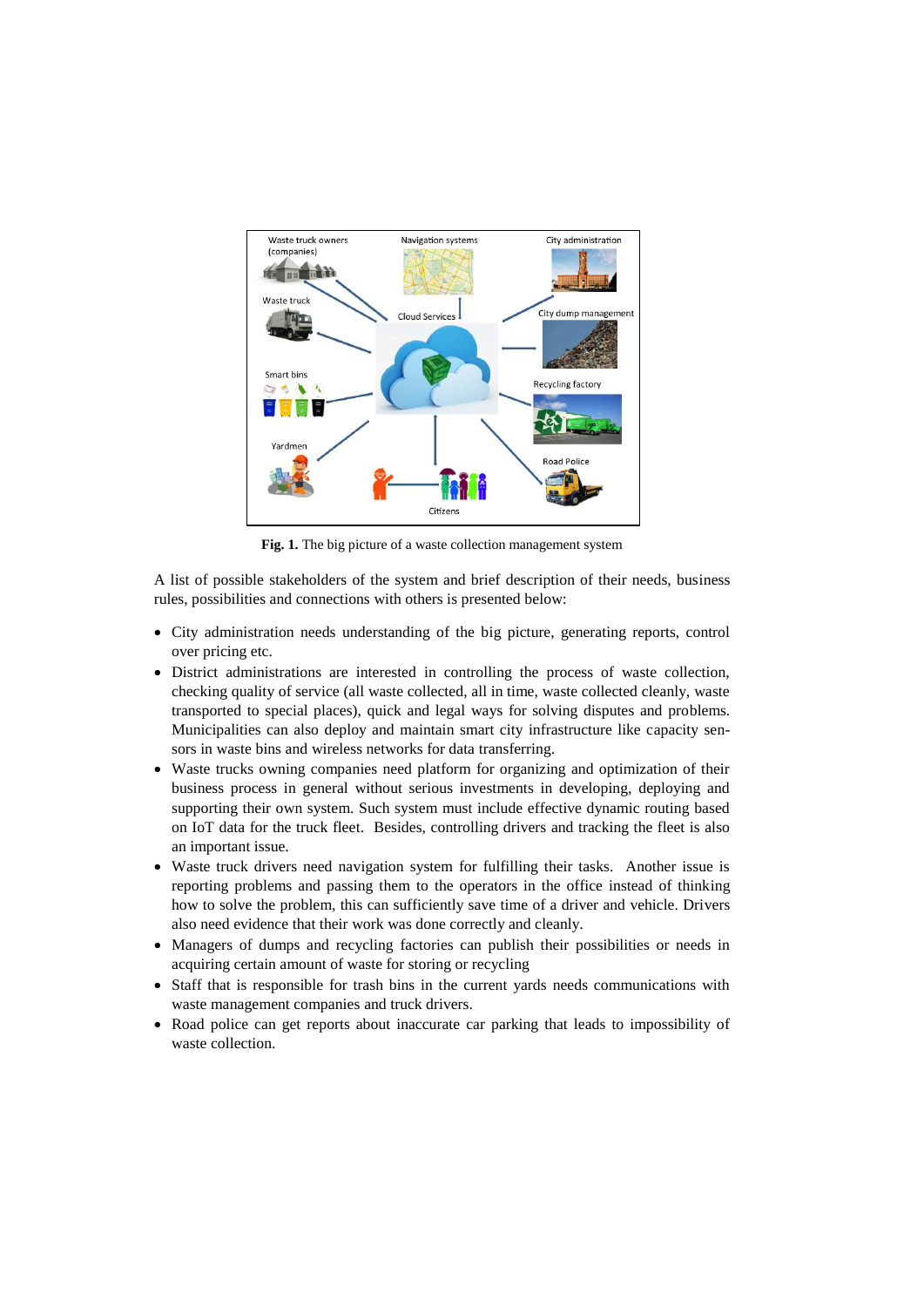

**Fig. 1.** The big picture of a waste collection management system

A list of possible stakeholders of the system and brief description of their needs, business rules, possibilities and connections with others is presented below:

- City administration needs understanding of the big picture, generating reports, control over pricing etc.
- District administrations are interested in controlling the process of waste collection, checking quality of service (all waste collected, all in time, waste collected cleanly, waste transported to special places), quick and legal ways for solving disputes and problems. Municipalities can also deploy and maintain smart city infrastructure like capacity sensors in waste bins and wireless networks for data transferring.
- Waste trucks owning companies need platform for organizing and optimization of their business process in general without serious investments in developing, deploying and supporting their own system. Such system must include effective dynamic routing based on IoT data for the truck fleet. Besides, controlling drivers and tracking the fleet is also an important issue.
- Waste truck drivers need navigation system for fulfilling their tasks. Another issue is reporting problems and passing them to the operators in the office instead of thinking how to solve the problem, this can sufficiently save time of a driver and vehicle. Drivers also need evidence that their work was done correctly and cleanly.
- Managers of dumps and recycling factories can publish their possibilities or needs in acquiring certain amount of waste for storing or recycling
- Staff that is responsible for trash bins in the current yards needs communications with waste management companies and truck drivers.
- Road police can get reports about inaccurate car parking that leads to impossibility of waste collection.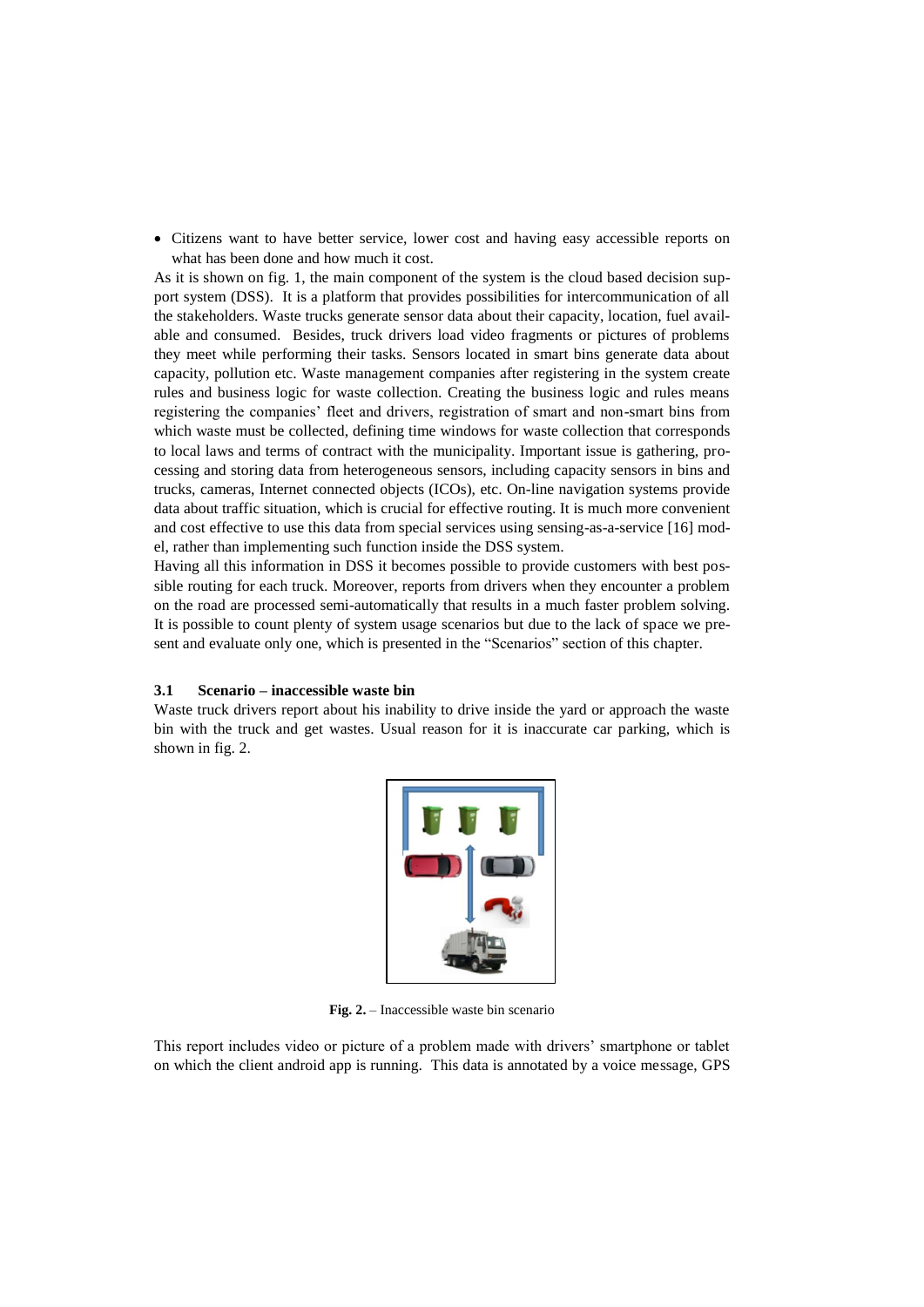• Citizens want to have better service, lower cost and having easy accessible reports on what has been done and how much it cost.

As it is shown on fig. 1, the main component of the system is the cloud based decision support system (DSS). It is a platform that provides possibilities for intercommunication of all the stakeholders. Waste trucks generate sensor data about their capacity, location, fuel available and consumed. Besides, truck drivers load video fragments or pictures of problems they meet while performing their tasks. Sensors located in smart bins generate data about capacity, pollution etc. Waste management companies after registering in the system create rules and business logic for waste collection. Creating the business logic and rules means registering the companies' fleet and drivers, registration of smart and non-smart bins from which waste must be collected, defining time windows for waste collection that corresponds to local laws and terms of contract with the municipality. Important issue is gathering, processing and storing data from heterogeneous sensors, including capacity sensors in bins and trucks, cameras, Internet connected objects (ICOs), etc. On-line navigation systems provide data about traffic situation, which is crucial for effective routing. It is much more convenient and cost effective to use this data from special services using sensing-as-a-service [16] model, rather than implementing such function inside the DSS system.

Having all this information in DSS it becomes possible to provide customers with best possible routing for each truck. Moreover, reports from drivers when they encounter a problem on the road are processed semi-automatically that results in a much faster problem solving. It is possible to count plenty of system usage scenarios but due to the lack of space we present and evaluate only one, which is presented in the "Scenarios" section of this chapter.

### **3.1 Scenario – inaccessible waste bin**

Waste truck drivers report about his inability to drive inside the yard or approach the waste bin with the truck and get wastes. Usual reason for it is inaccurate car parking, which is shown in fig. 2.



**Fig. 2.** – Inaccessible waste bin scenario

This report includes video or picture of a problem made with drivers' smartphone or tablet on which the client android app is running. This data is annotated by a voice message, GPS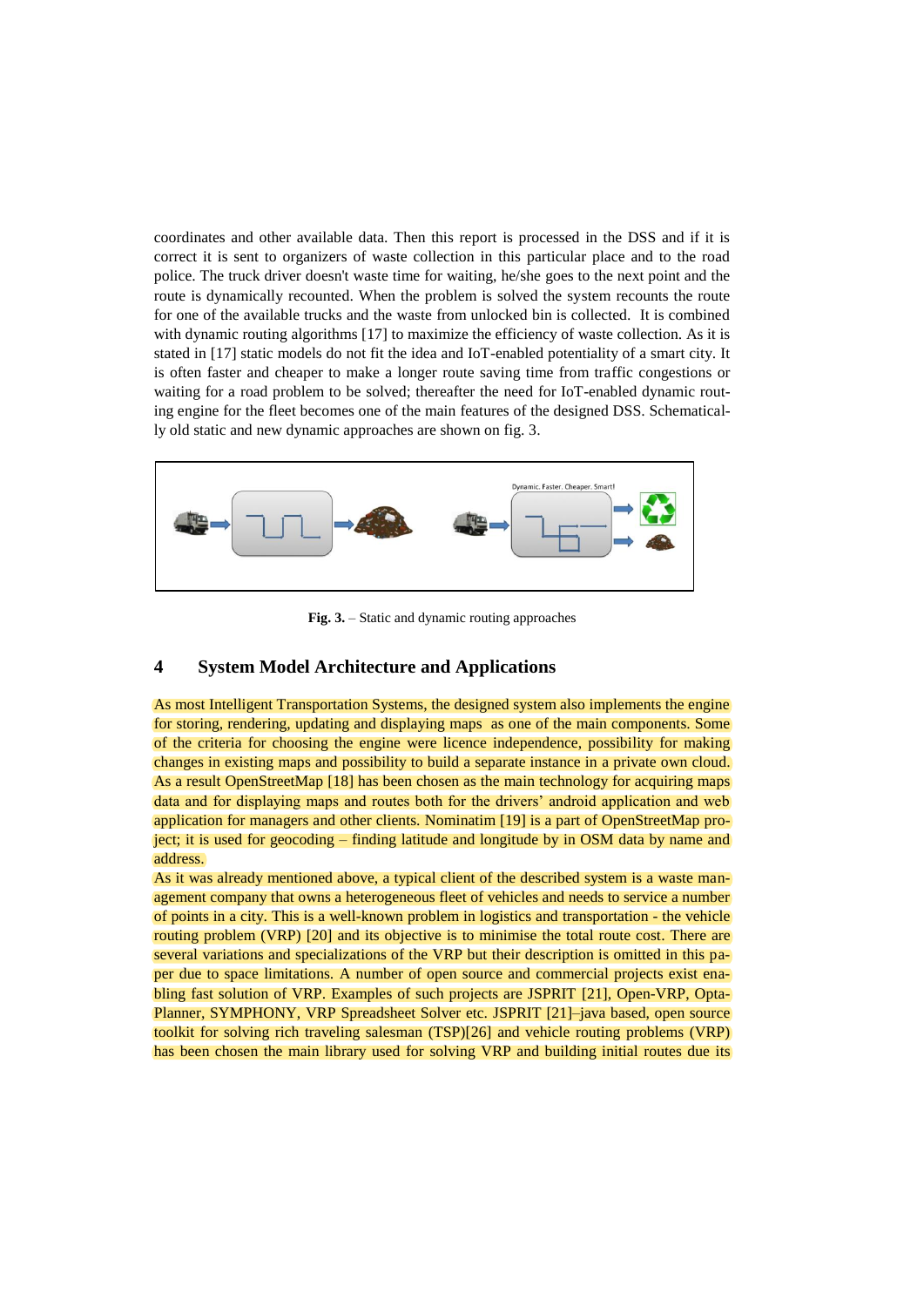coordinates and other available data. Then this report is processed in the DSS and if it is correct it is sent to organizers of waste collection in this particular place and to the road police. The truck driver doesn't waste time for waiting, he/she goes to the next point and the route is dynamically recounted. When the problem is solved the system recounts the route for one of the available trucks and the waste from unlocked bin is collected. It is combined with dynamic routing algorithms [17] to maximize the efficiency of waste collection. As it is stated in [17] static models do not fit the idea and IoT-enabled potentiality of a smart city. It is often faster and cheaper to make a longer route saving time from traffic congestions or waiting for a road problem to be solved; thereafter the need for IoT-enabled dynamic routing engine for the fleet becomes one of the main features of the designed DSS. Schematically old static and new dynamic approaches are shown on fig. 3.



**Fig. 3.** – Static and dynamic routing approaches

## **4 System Model Architecture and Applications**

As most Intelligent Transportation Systems, the designed system also implements the engine for storing, rendering, updating and displaying maps as one of the main components. Some of the criteria for choosing the engine were licence independence, possibility for making changes in existing maps and possibility to build a separate instance in a private own cloud. As a result OpenStreetMap [18] has been chosen as the main technology for acquiring maps data and for displaying maps and routes both for the drivers' android application and web application for managers and other clients. Nominatim [19] is a part of OpenStreetMap project; it is used for geocoding – finding latitude and longitude by in OSM data by name and address.

As it was already mentioned above, a typical client of the described system is a waste management company that owns a heterogeneous fleet of vehicles and needs to service a number of points in a city. This is a well-known problem in logistics and transportation - the vehicle routing problem (VRP) [20] and its objective is to minimise the total route cost. There are several variations and specializations of the VRP but their description is omitted in this paper due to space limitations. A number of open source and commercial projects exist enabling fast solution of VRP. Examples of such projects are JSPRIT [21], Open-VRP, Opta-Planner, SYMPHONY, VRP Spreadsheet Solver etc. JSPRIT [21]–java based, open source toolkit for solving rich traveling salesman (TSP)[26] and vehicle routing problems (VRP) has been chosen the main library used for solving VRP and building initial routes due its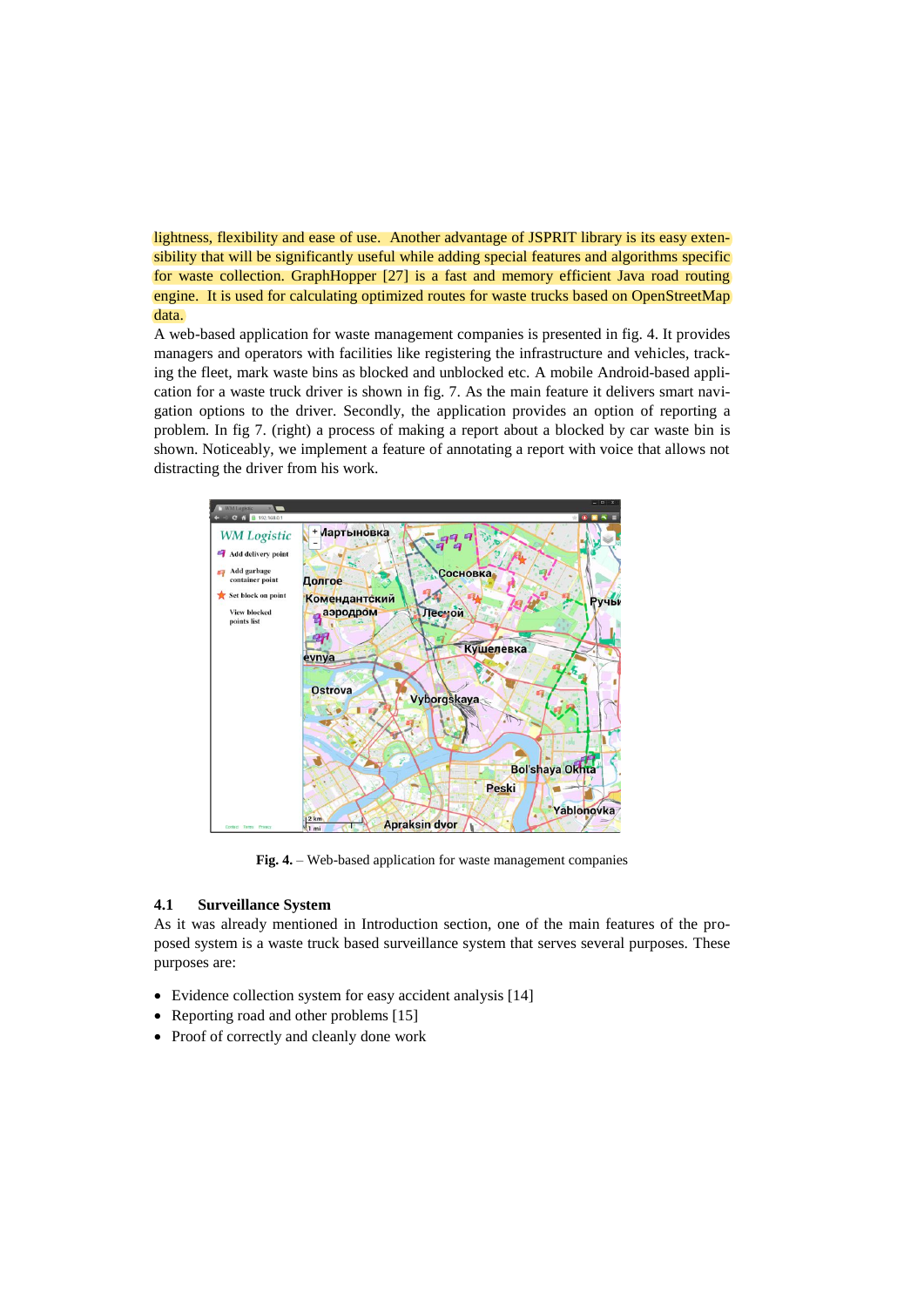lightness, flexibility and ease of use. Another advantage of JSPRIT library is its easy extensibility that will be significantly useful while adding special features and algorithms specific for waste collection. GraphHopper [27] is a fast and memory efficient Java road routing engine. It is used for calculating optimized routes for waste trucks based on OpenStreetMap data.

A web-based application for waste management companies is presented in fig. 4. It provides managers and operators with facilities like registering the infrastructure and vehicles, tracking the fleet, mark waste bins as blocked and unblocked etc. A mobile Android-based application for a waste truck driver is shown in fig. 7. As the main feature it delivers smart navigation options to the driver. Secondly, the application provides an option of reporting a problem. In fig 7. (right) a process of making a report about a blocked by car waste bin is shown. Noticeably, we implement a feature of annotating a report with voice that allows not distracting the driver from his work.



**Fig. 4.** – Web-based application for waste management companies

### **4.1 Surveillance System**

As it was already mentioned in Introduction section, one of the main features of the proposed system is a waste truck based surveillance system that serves several purposes. These purposes are:

- Evidence collection system for easy accident analysis [14]
- Reporting road and other problems [15]
- Proof of correctly and cleanly done work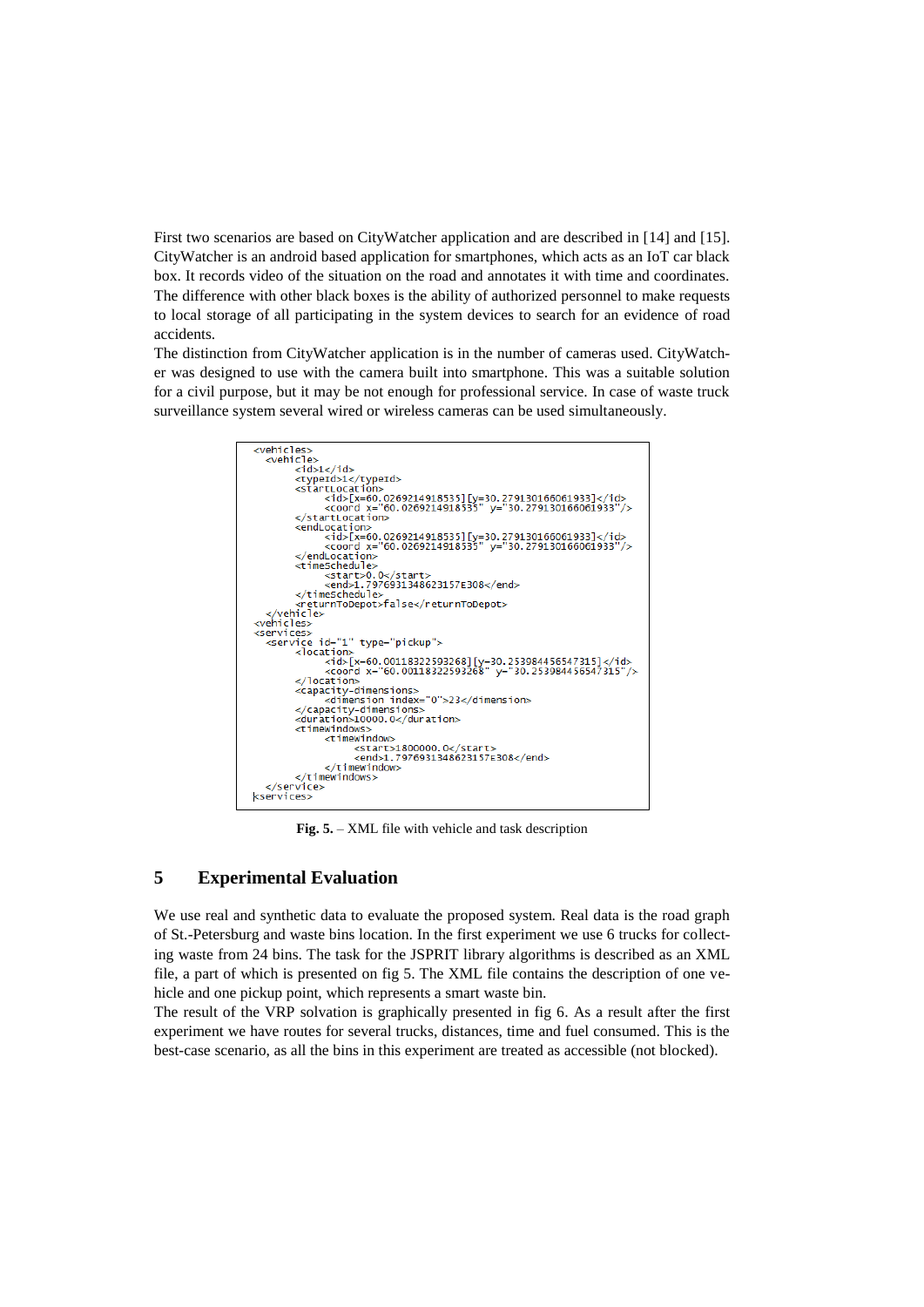First two scenarios are based on CityWatcher application and are described in [14] and [15]. CityWatcher is an android based application for smartphones, which acts as an IoT car black box. It records video of the situation on the road and annotates it with time and coordinates. The difference with other black boxes is the ability of authorized personnel to make requests to local storage of all participating in the system devices to search for an evidence of road accidents.

The distinction from CityWatcher application is in the number of cameras used. CityWatcher was designed to use with the camera built into smartphone. This was a suitable solution for a civil purpose, but it may be not enough for professional service. In case of waste truck surveillance system several wired or wireless cameras can be used simultaneously.



**Fig. 5.** – XML file with vehicle and task description

# **5 Experimental Evaluation**

We use real and synthetic data to evaluate the proposed system. Real data is the road graph of St.-Petersburg and waste bins location. In the first experiment we use 6 trucks for collecting waste from 24 bins. The task for the JSPRIT library algorithms is described as an XML file, a part of which is presented on fig 5. The XML file contains the description of one vehicle and one pickup point, which represents a smart waste bin.

The result of the VRP solvation is graphically presented in fig 6. As a result after the first experiment we have routes for several trucks, distances, time and fuel consumed. This is the best-case scenario, as all the bins in this experiment are treated as accessible (not blocked).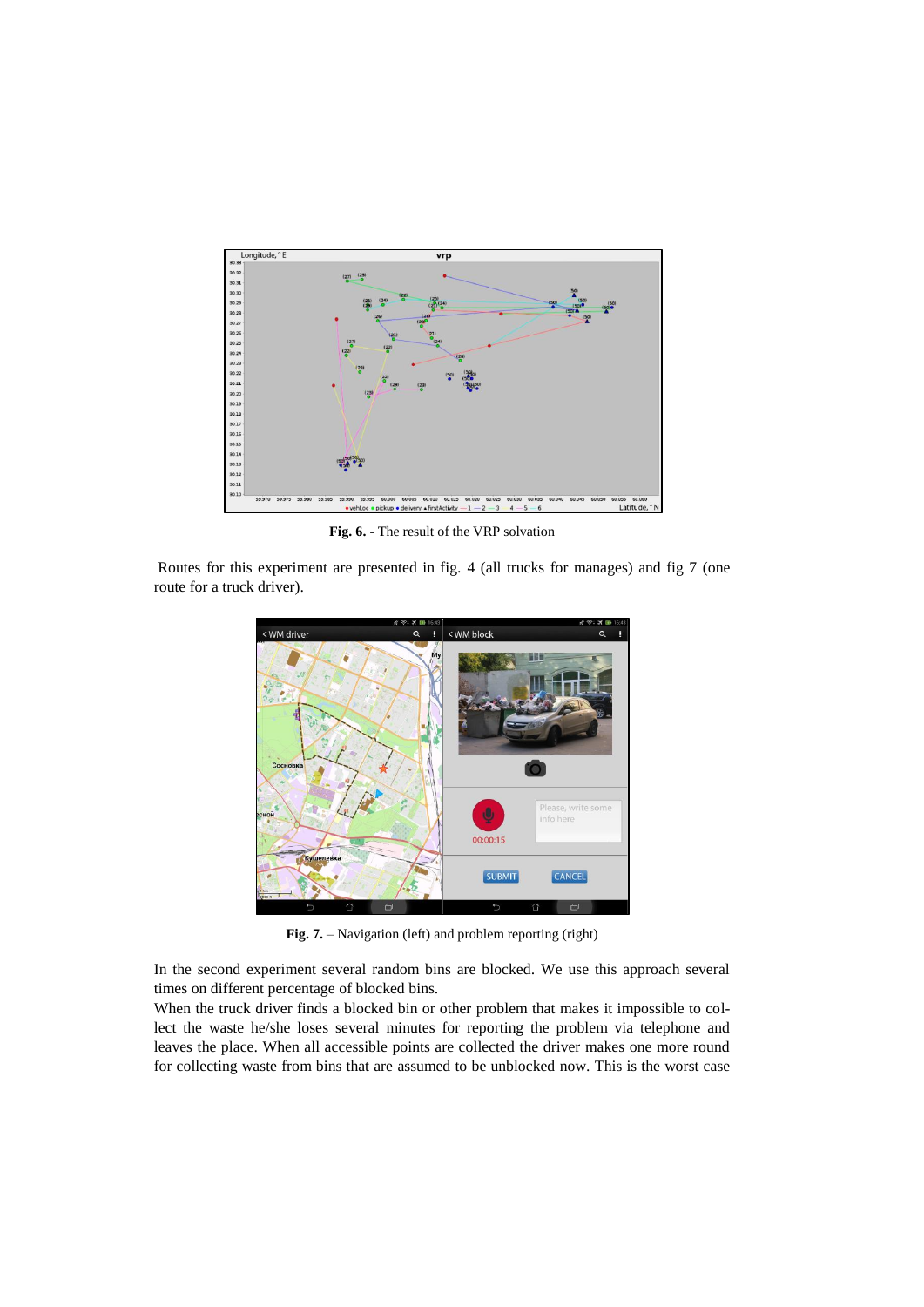

**Fig. 6.** - The result of the VRP solvation

Routes for this experiment are presented in fig. 4 (all trucks for manages) and fig 7 (one route for a truck driver).



Fig. 7. – Navigation (left) and problem reporting (right)

In the second experiment several random bins are blocked. We use this approach several times on different percentage of blocked bins.

When the truck driver finds a blocked bin or other problem that makes it impossible to collect the waste he/she loses several minutes for reporting the problem via telephone and leaves the place. When all accessible points are collected the driver makes one more round for collecting waste from bins that are assumed to be unblocked now. This is the worst case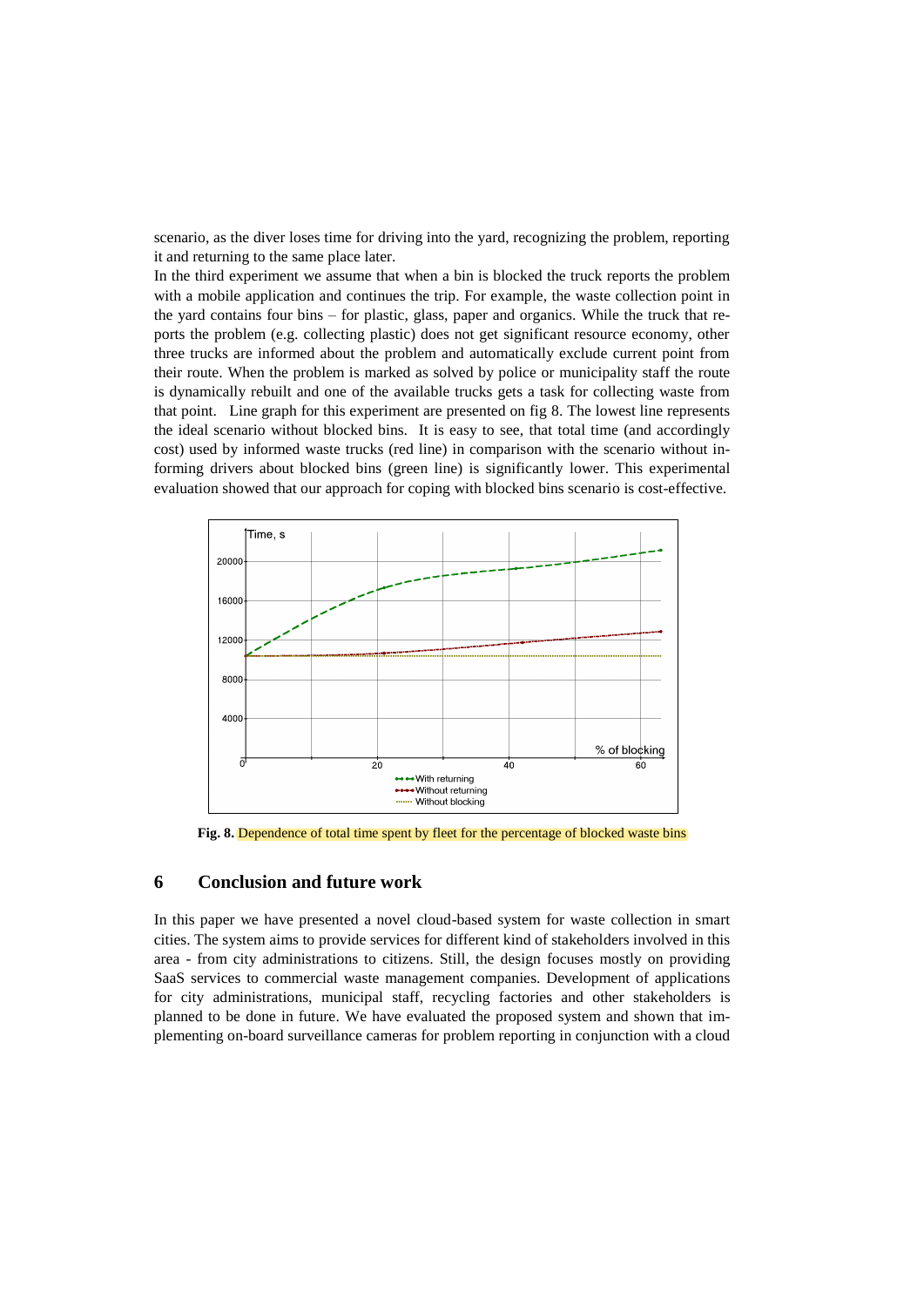scenario, as the diver loses time for driving into the yard, recognizing the problem, reporting it and returning to the same place later.

In the third experiment we assume that when a bin is blocked the truck reports the problem with a mobile application and continues the trip. For example, the waste collection point in the yard contains four bins – for plastic, glass, paper and organics. While the truck that reports the problem (e.g. collecting plastic) does not get significant resource economy, other three trucks are informed about the problem and automatically exclude current point from their route. When the problem is marked as solved by police or municipality staff the route is dynamically rebuilt and one of the available trucks gets a task for collecting waste from that point. Line graph for this experiment are presented on fig 8. The lowest line represents the ideal scenario without blocked bins. It is easy to see, that total time (and accordingly cost) used by informed waste trucks (red line) in comparison with the scenario without informing drivers about blocked bins (green line) is significantly lower. This experimental evaluation showed that our approach for coping with blocked bins scenario is cost-effective.



**Fig. 8.** Dependence of total time spent by fleet for the percentage of blocked waste bins

# **6 Conclusion and future work**

In this paper we have presented a novel cloud-based system for waste collection in smart cities. The system aims to provide services for different kind of stakeholders involved in this area - from city administrations to citizens. Still, the design focuses mostly on providing SaaS services to commercial waste management companies. Development of applications for city administrations, municipal staff, recycling factories and other stakeholders is planned to be done in future. We have evaluated the proposed system and shown that implementing on-board surveillance cameras for problem reporting in conjunction with a cloud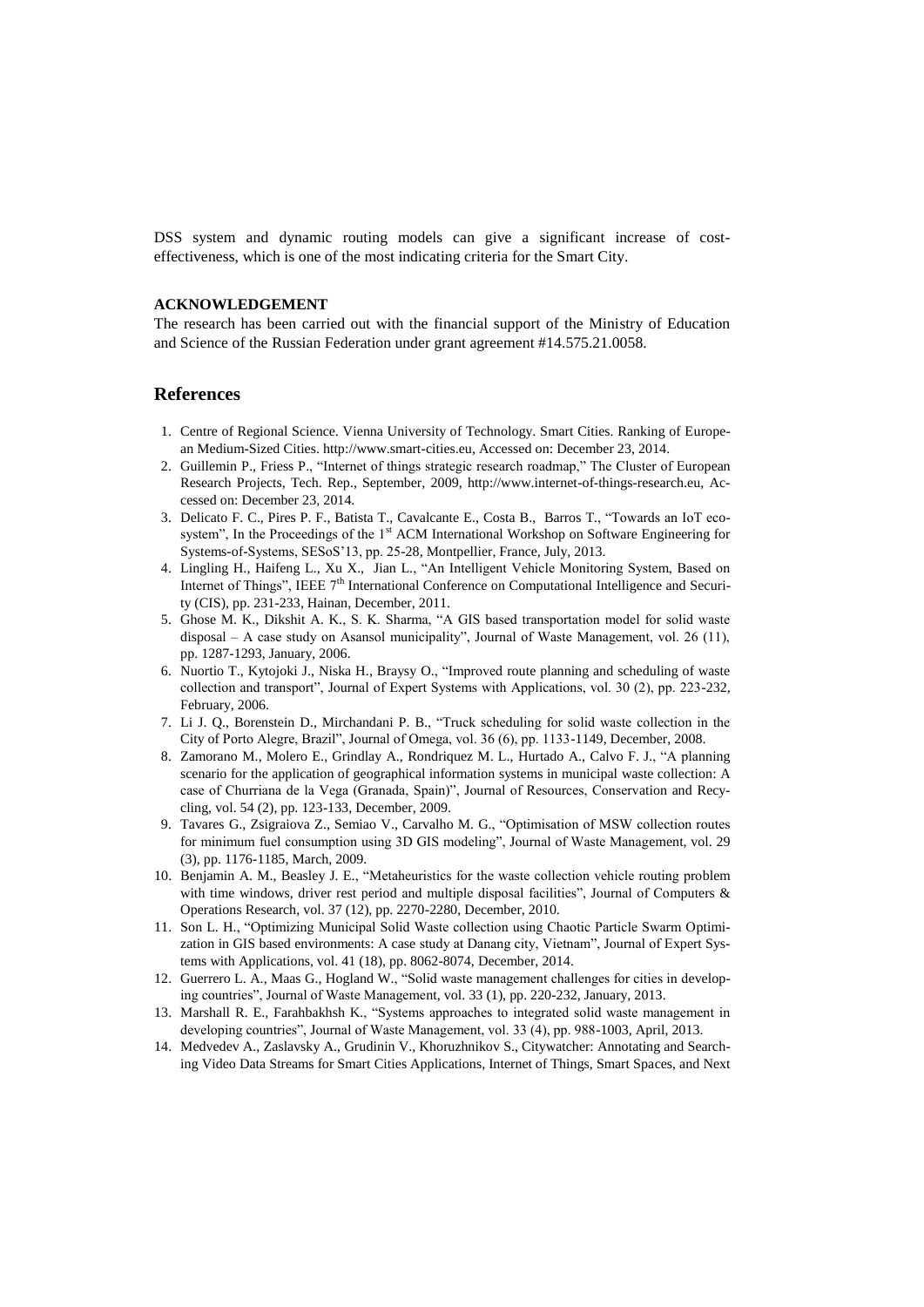DSS system and dynamic routing models can give a significant increase of costeffectiveness, which is one of the most indicating criteria for the Smart City.

#### **ACKNOWLEDGEMENT**

The research has been carried out with the financial support of the Ministry of Education and Science of the Russian Federation under grant agreement #14.575.21.0058.

### **References**

- 1. Centre of Regional Science. Vienna University of Technology. Smart Cities. Ranking of European Medium-Sized Cities. http://www.smart-cities.eu, Accessed on: December 23, 2014.
- 2. Guillemin P., Friess P., "Internet of things strategic research roadmap," The Cluster of European Research Projects, Tech. Rep., September, 2009, http://www.internet-of-things-research.eu, Accessed on: December 23, 2014.
- 3. Delicato F. C., Pires P. F., Batista T., Cavalcante E., Costa B., Barros T., "Towards an IoT ecosystem", In the Proceedings of the 1<sup>st</sup> ACM International Workshop on Software Engineering for Systems-of-Systems, SESoS'13, pp. 25-28, Montpellier, France, July, 2013.
- 4. Lingling H., Haifeng L., Xu X., Jian L., "An Intelligent Vehicle Monitoring System, Based on Internet of Things", IEEE 7<sup>th</sup> International Conference on Computational Intelligence and Security (CIS), pp. 231-233, Hainan, December, 2011.
- 5. Ghose M. K., Dikshit A. K., S. K. Sharma, "A GIS based transportation model for solid waste disposal – A case study on Asansol municipality", Journal of Waste Management, vol. 26 (11), pp. 1287-1293, January, 2006.
- 6. Nuortio T., Kytojoki J., Niska H., Braysy O., "Improved route planning and scheduling of waste collection and transport", Journal of Expert Systems with Applications, vol. 30 (2), pp. 223-232, February, 2006.
- 7. Li J. Q., Borenstein D., Mirchandani P. B., "Truck scheduling for solid waste collection in the City of Porto Alegre, Brazil", Journal of Omega, vol. 36 (6), pp. 1133-1149, December, 2008.
- 8. Zamorano M., Molero E., Grindlay A., Rondriquez M. L., Hurtado A., Calvo F. J., "A planning scenario for the application of geographical information systems in municipal waste collection: A case of Churriana de la Vega (Granada, Spain)", Journal of Resources, Conservation and Recycling, vol. 54 (2), pp. 123-133, December, 2009.
- 9. Tavares G., Zsigraiova Z., Semiao V., Carvalho M. G., "Optimisation of MSW collection routes for minimum fuel consumption using 3D GIS modeling", Journal of Waste Management, vol. 29 (3), pp. 1176-1185, March, 2009.
- 10. Benjamin A. M., Beasley J. E., "Metaheuristics for the waste collection vehicle routing problem with time windows, driver rest period and multiple disposal facilities", Journal of Computers & Operations Research, vol. 37 (12), pp. 2270-2280, December, 2010.
- 11. Son L. H., "Optimizing Municipal Solid Waste collection using Chaotic Particle Swarm Optimization in GIS based environments: A case study at Danang city, Vietnam", Journal of Expert Systems with Applications, vol. 41 (18), pp. 8062-8074, December, 2014.
- 12. Guerrero L. A., Maas G., Hogland W., "Solid waste management challenges for cities in developing countries", Journal of Waste Management, vol. 33 (1), pp. 220-232, January, 2013.
- 13. Marshall R. E., Farahbakhsh K., "Systems approaches to integrated solid waste management in developing countries", Journal of Waste Management, vol. 33 (4), pp. 988-1003, April, 2013.
- 14. Medvedev A., Zaslavsky A., Grudinin V., Khoruzhnikov S., Citywatcher: Annotating and Searching Video Data Streams for Smart Cities Applications, Internet of Things, Smart Spaces, and Next